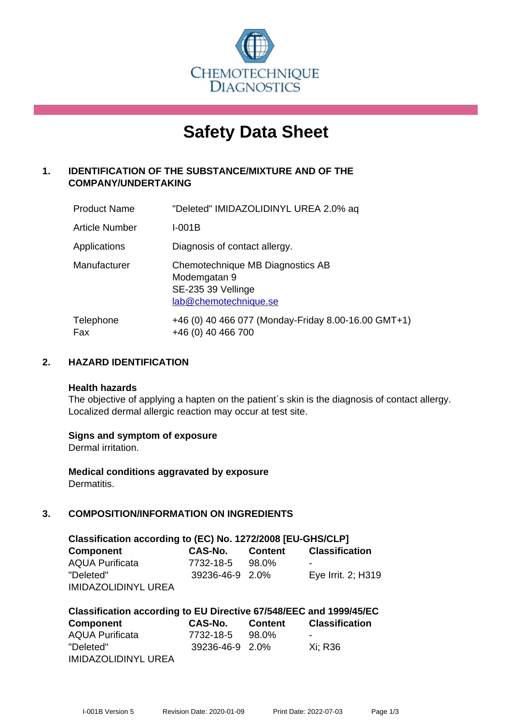

# **Safety Data Sheet**

# **1. IDENTIFICATION OF THE SUBSTANCE/MIXTURE AND OF THE COMPANY/UNDERTAKING**

| <b>Product Name</b>   | "Deleted" IMIDAZOLIDINYL UREA 2.0% aq                                                           |
|-----------------------|-------------------------------------------------------------------------------------------------|
| <b>Article Number</b> | I-001B                                                                                          |
| Applications          | Diagnosis of contact allergy.                                                                   |
| Manufacturer          | Chemotechnique MB Diagnostics AB<br>Modemgatan 9<br>SE-235 39 Vellinge<br>lab@chemotechnique.se |
| Telephone<br>Fax      | +46 (0) 40 466 077 (Monday-Friday 8.00-16.00 GMT+1)<br>+46 (0) 40 466 700                       |

## **2. HAZARD IDENTIFICATION**

#### **Health hazards**

The objective of applying a hapten on the patient's skin is the diagnosis of contact allergy. Localized dermal allergic reaction may occur at test site.

## **Signs and symptom of exposure**

Dermal irritation.

**Medical conditions aggravated by exposure** Dermatitis.

# **3. COMPOSITION/INFORMATION ON INGREDIENTS**

| Classification according to (EC) No. 1272/2008 [EU-GHS/CLP] |                 |         |                       |
|-------------------------------------------------------------|-----------------|---------|-----------------------|
| <b>Component</b>                                            | <b>CAS-No.</b>  | Content | <b>Classification</b> |
| <b>AQUA Purificata</b>                                      | 7732-18-5       | 98.0%   |                       |
| "Deleted"                                                   | 39236-46-9 2.0% |         | Eye Irrit. 2; H319    |
| <b>IMIDAZOLIDINYL UREA</b>                                  |                 |         |                       |

| Classification according to EU Directive 67/548/EEC and 1999/45/EC |                 |         |                       |  |
|--------------------------------------------------------------------|-----------------|---------|-----------------------|--|
| <b>Component</b>                                                   | CAS-No.         | Content | <b>Classification</b> |  |
| <b>AQUA Purificata</b>                                             | 7732-18-5       | 98.0%   | $\blacksquare$        |  |
| "Deleted"                                                          | 39236-46-9 2.0% |         | Xi: R36               |  |
| <b>IMIDAZOLIDINYL UREA</b>                                         |                 |         |                       |  |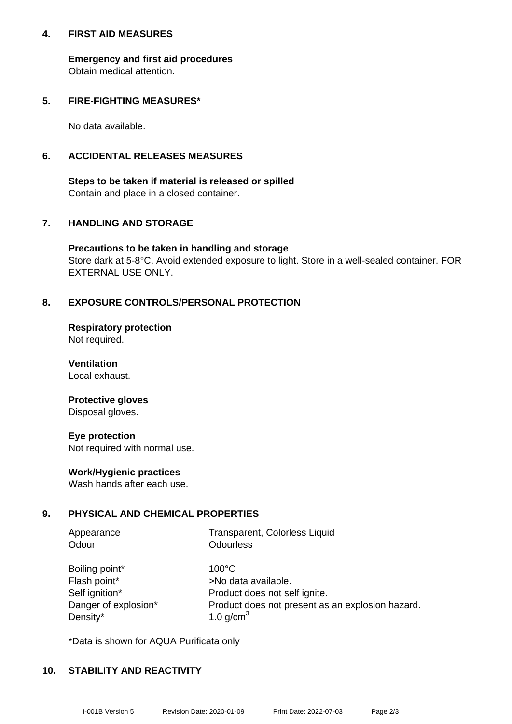## **4. FIRST AID MEASURES**

**Emergency and first aid procedures** Obtain medical attention.

## **5. FIRE-FIGHTING MEASURES\***

No data available.

## **6. ACCIDENTAL RELEASES MEASURES**

**Steps to be taken if material is released or spilled** Contain and place in a closed container.

## **7. HANDLING AND STORAGE**

**Precautions to be taken in handling and storage** Store dark at 5-8°C. Avoid extended exposure to light. Store in a well-sealed container. FOR EXTERNAL USE ONLY.

## **8. EXPOSURE CONTROLS/PERSONAL PROTECTION**

**Respiratory protection** Not required.

**Ventilation** Local exhaust.

#### **Protective gloves** Disposal gloves.

**Eye protection** Not required with normal use.

## **Work/Hygienic practices**

Wash hands after each use.

## **9. PHYSICAL AND CHEMICAL PROPERTIES**

| Appearance | Transparent, Colorless Liquid |
|------------|-------------------------------|
| Odour      | <b>Odourless</b>              |

| Boiling point*       |
|----------------------|
| Flash point*         |
| Self ignition*       |
| Danger of explosion* |
| Density*             |

 $100^{\circ}$ C >No data available. Product does not self ignite. Product does not present as an explosion hazard. 1.0 g/cm $<sup>3</sup>$ </sup>

\*Data is shown for AQUA Purificata only

## **10. STABILITY AND REACTIVITY**